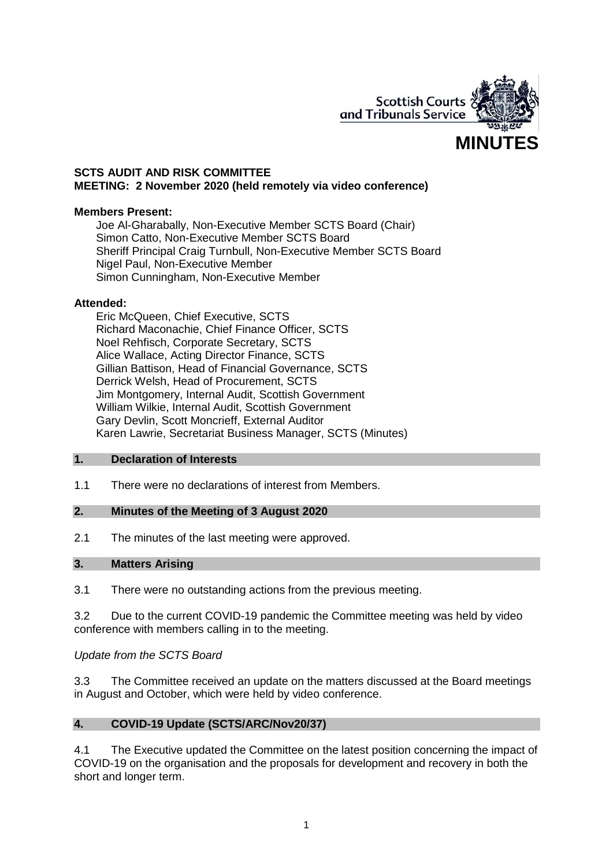

## **SCTS AUDIT AND RISK COMMITTEE MEETING: 2 November 2020 (held remotely via video conference)**

#### **Members Present:**

Joe Al-Gharabally, Non-Executive Member SCTS Board (Chair) Simon Catto, Non-Executive Member SCTS Board Sheriff Principal Craig Turnbull, Non-Executive Member SCTS Board Nigel Paul, Non-Executive Member Simon Cunningham, Non-Executive Member

#### **Attended:**

Eric McQueen, Chief Executive, SCTS Richard Maconachie, Chief Finance Officer, SCTS Noel Rehfisch, Corporate Secretary, SCTS Alice Wallace, Acting Director Finance, SCTS Gillian Battison, Head of Financial Governance, SCTS Derrick Welsh, Head of Procurement, SCTS Jim Montgomery, Internal Audit, Scottish Government William Wilkie, Internal Audit, Scottish Government Gary Devlin, Scott Moncrieff, External Auditor Karen Lawrie, Secretariat Business Manager, SCTS (Minutes)

#### **1. Declaration of Interests**

1.1 There were no declarations of interest from Members.

## **2. Minutes of the Meeting of 3 August 2020**

2.1 The minutes of the last meeting were approved.

#### **3. Matters Arising**

3.1 There were no outstanding actions from the previous meeting.

3.2 Due to the current COVID-19 pandemic the Committee meeting was held by video conference with members calling in to the meeting.

*Update from the SCTS Board*

3.3 The Committee received an update on the matters discussed at the Board meetings in August and October, which were held by video conference.

## **4. COVID-19 Update (SCTS/ARC/Nov20/37)**

4.1 The Executive updated the Committee on the latest position concerning the impact of COVID-19 on the organisation and the proposals for development and recovery in both the short and longer term.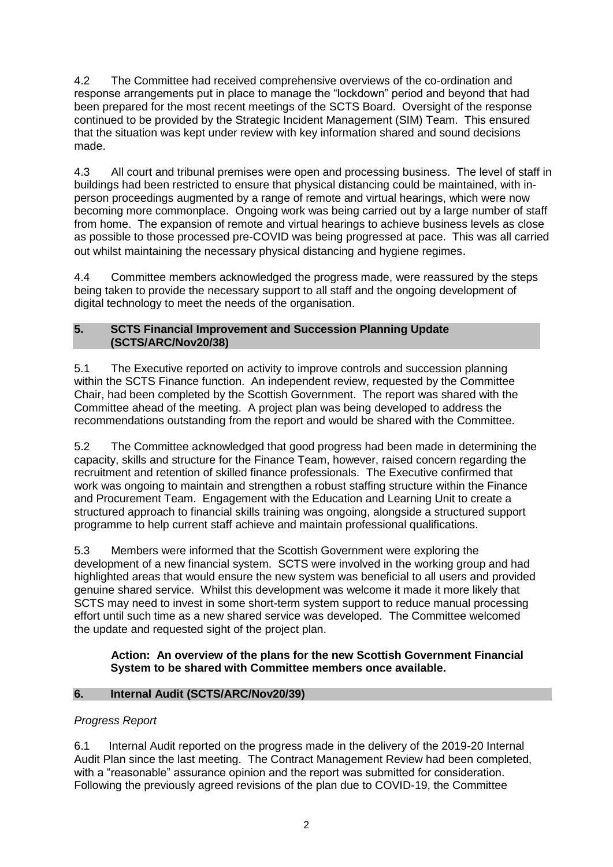4.2 The Committee had received comprehensive overviews of the co-ordination and response arrangements put in place to manage the "lockdown" period and beyond that had been prepared for the most recent meetings of the SCTS Board. Oversight of the response continued to be provided by the Strategic Incident Management (SIM) Team. This ensured that the situation was kept under review with key information shared and sound decisions made.

4.3 All court and tribunal premises were open and processing business. The level of staff in buildings had been restricted to ensure that physical distancing could be maintained, with inperson proceedings augmented by a range of remote and virtual hearings, which were now becoming more commonplace. Ongoing work was being carried out by a large number of staff from home. The expansion of remote and virtual hearings to achieve business levels as close as possible to those processed pre-COVID was being progressed at pace. This was all carried out whilst maintaining the necessary physical distancing and hygiene regimes.

4.4 Committee members acknowledged the progress made, were reassured by the steps being taken to provide the necessary support to all staff and the ongoing development of digital technology to meet the needs of the organisation.

# **5. SCTS Financial Improvement and Succession Planning Update (SCTS/ARC/Nov20/38)**

5.1 The Executive reported on activity to improve controls and succession planning within the SCTS Finance function. An independent review, requested by the Committee Chair, had been completed by the Scottish Government. The report was shared with the Committee ahead of the meeting. A project plan was being developed to address the recommendations outstanding from the report and would be shared with the Committee.

5.2 The Committee acknowledged that good progress had been made in determining the capacity, skills and structure for the Finance Team, however, raised concern regarding the recruitment and retention of skilled finance professionals. The Executive confirmed that work was ongoing to maintain and strengthen a robust staffing structure within the Finance and Procurement Team. Engagement with the Education and Learning Unit to create a structured approach to financial skills training was ongoing, alongside a structured support programme to help current staff achieve and maintain professional qualifications.

5.3 Members were informed that the Scottish Government were exploring the development of a new financial system. SCTS were involved in the working group and had highlighted areas that would ensure the new system was beneficial to all users and provided genuine shared service. Whilst this development was welcome it made it more likely that SCTS may need to invest in some short-term system support to reduce manual processing effort until such time as a new shared service was developed. The Committee welcomed the update and requested sight of the project plan.

# **Action: An overview of the plans for the new Scottish Government Financial System to be shared with Committee members once available.**

# **6. Internal Audit (SCTS/ARC/Nov20/39)**

# *Progress Report*

6.1 Internal Audit reported on the progress made in the delivery of the 2019-20 Internal Audit Plan since the last meeting. The Contract Management Review had been completed, with a "reasonable" assurance opinion and the report was submitted for consideration. Following the previously agreed revisions of the plan due to COVID-19, the Committee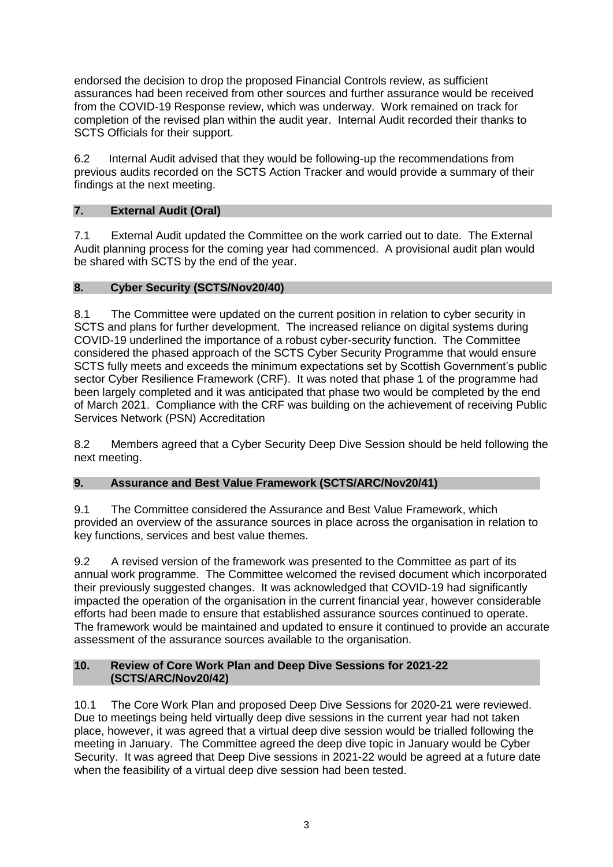endorsed the decision to drop the proposed Financial Controls review, as sufficient assurances had been received from other sources and further assurance would be received from the COVID-19 Response review, which was underway. Work remained on track for completion of the revised plan within the audit year. Internal Audit recorded their thanks to SCTS Officials for their support.

6.2 Internal Audit advised that they would be following-up the recommendations from previous audits recorded on the SCTS Action Tracker and would provide a summary of their findings at the next meeting.

# **7. External Audit (Oral)**

7.1 External Audit updated the Committee on the work carried out to date. The External Audit planning process for the coming year had commenced. A provisional audit plan would be shared with SCTS by the end of the year.

## **8. Cyber Security (SCTS/Nov20/40)**

8.1 The Committee were updated on the current position in relation to cyber security in SCTS and plans for further development. The increased reliance on digital systems during COVID-19 underlined the importance of a robust cyber-security function. The Committee considered the phased approach of the SCTS Cyber Security Programme that would ensure SCTS fully meets and exceeds the minimum expectations set by Scottish Government's public sector Cyber Resilience Framework (CRF). It was noted that phase 1 of the programme had been largely completed and it was anticipated that phase two would be completed by the end of March 2021. Compliance with the CRF was building on the achievement of receiving Public Services Network (PSN) Accreditation

8.2 Members agreed that a Cyber Security Deep Dive Session should be held following the next meeting.

## **9. Assurance and Best Value Framework (SCTS/ARC/Nov20/41)**

9.1 The Committee considered the Assurance and Best Value Framework, which provided an overview of the assurance sources in place across the organisation in relation to key functions, services and best value themes.

9.2 A revised version of the framework was presented to the Committee as part of its annual work programme. The Committee welcomed the revised document which incorporated their previously suggested changes. It was acknowledged that COVID-19 had significantly impacted the operation of the organisation in the current financial year, however considerable efforts had been made to ensure that established assurance sources continued to operate. The framework would be maintained and updated to ensure it continued to provide an accurate assessment of the assurance sources available to the organisation.

## **10. Review of Core Work Plan and Deep Dive Sessions for 2021-22 (SCTS/ARC/Nov20/42)**

10.1 The Core Work Plan and proposed Deep Dive Sessions for 2020-21 were reviewed. Due to meetings being held virtually deep dive sessions in the current year had not taken place, however, it was agreed that a virtual deep dive session would be trialled following the meeting in January. The Committee agreed the deep dive topic in January would be Cyber Security. It was agreed that Deep Dive sessions in 2021-22 would be agreed at a future date when the feasibility of a virtual deep dive session had been tested.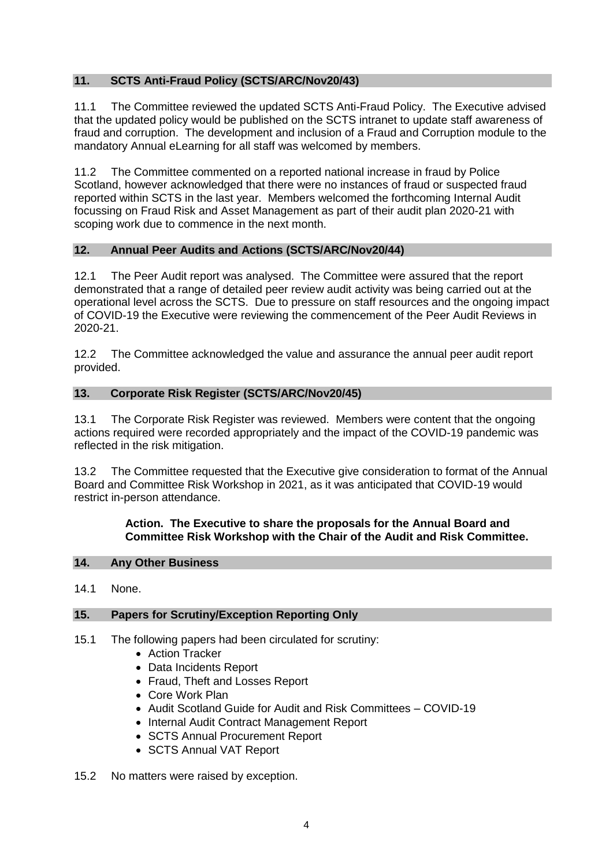# **11. SCTS Anti-Fraud Policy (SCTS/ARC/Nov20/43)**

11.1 The Committee reviewed the updated SCTS Anti-Fraud Policy. The Executive advised that the updated policy would be published on the SCTS intranet to update staff awareness of fraud and corruption. The development and inclusion of a Fraud and Corruption module to the mandatory Annual eLearning for all staff was welcomed by members.

11.2 The Committee commented on a reported national increase in fraud by Police Scotland, however acknowledged that there were no instances of fraud or suspected fraud reported within SCTS in the last year. Members welcomed the forthcoming Internal Audit focussing on Fraud Risk and Asset Management as part of their audit plan 2020-21 with scoping work due to commence in the next month.

## **12. Annual Peer Audits and Actions (SCTS/ARC/Nov20/44)**

12.1 The Peer Audit report was analysed. The Committee were assured that the report demonstrated that a range of detailed peer review audit activity was being carried out at the operational level across the SCTS. Due to pressure on staff resources and the ongoing impact of COVID-19 the Executive were reviewing the commencement of the Peer Audit Reviews in 2020-21.

12.2 The Committee acknowledged the value and assurance the annual peer audit report provided.

## **13. Corporate Risk Register (SCTS/ARC/Nov20/45)**

13.1 The Corporate Risk Register was reviewed. Members were content that the ongoing actions required were recorded appropriately and the impact of the COVID-19 pandemic was reflected in the risk mitigation.

13.2 The Committee requested that the Executive give consideration to format of the Annual Board and Committee Risk Workshop in 2021, as it was anticipated that COVID-19 would restrict in-person attendance.

#### **Action. The Executive to share the proposals for the Annual Board and Committee Risk Workshop with the Chair of the Audit and Risk Committee.**

## **14. Any Other Business**

14.1 None.

#### **15. Papers for Scrutiny/Exception Reporting Only**

- 15.1 The following papers had been circulated for scrutiny:
	- Action Tracker
	- Data Incidents Report
	- Fraud, Theft and Losses Report
	- Core Work Plan
	- Audit Scotland Guide for Audit and Risk Committees COVID-19
	- Internal Audit Contract Management Report
	- SCTS Annual Procurement Report
	- SCTS Annual VAT Report

#### 15.2 No matters were raised by exception.